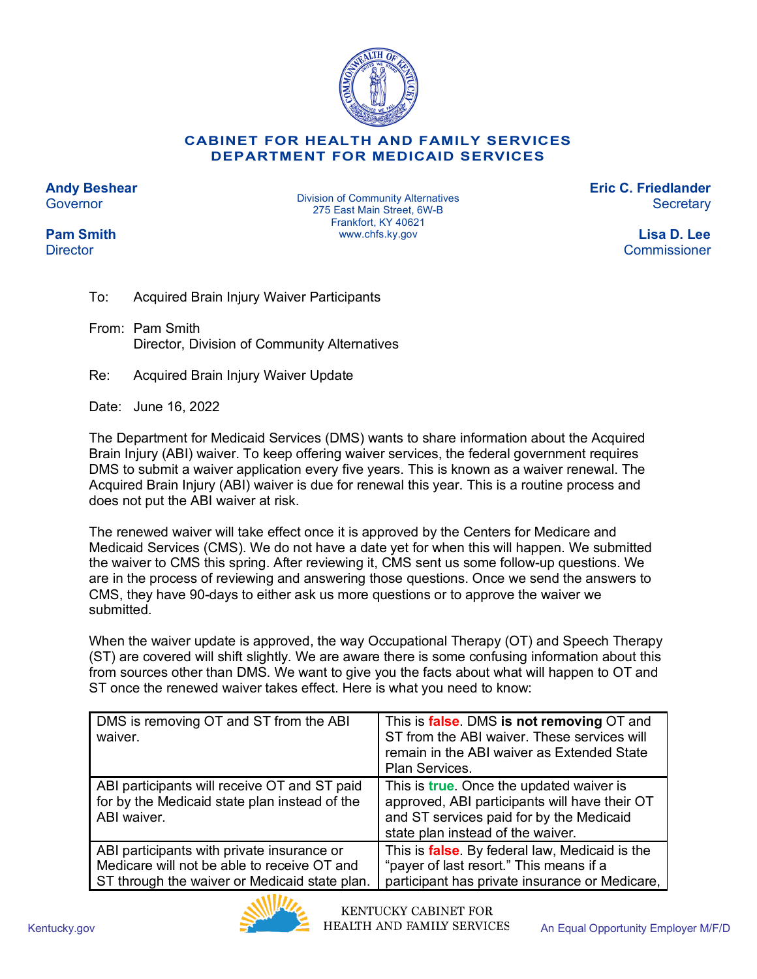

#### **CABINET FOR HEALTH AND FAMILY SERVICES DEPARTMENT FOR MEDICAID SERVICES**

**Andy Beshear Governor** 

**Pam Smith Director** 

Division of Community Alternatives 275 East Main Street, 6W-B Frankfort, KY 40621 www.chfs.ky.gov

**Eric C. Friedlander Secretary** 

> **Lisa D. Lee** Commissioner

- To: Acquired Brain Injury Waiver Participants
- From: Pam Smith Director, Division of Community Alternatives
- Re: Acquired Brain Injury Waiver Update

Date: June 16, 2022

The Department for Medicaid Services (DMS) wants to share information about the Acquired Brain Injury (ABI) waiver. To keep offering waiver services, the federal government requires DMS to submit a waiver application every five years. This is known as a waiver renewal. The Acquired Brain Injury (ABI) waiver is due for renewal this year. This is a routine process and does not put the ABI waiver at risk.

The renewed waiver will take effect once it is approved by the Centers for Medicare and Medicaid Services (CMS). We do not have a date yet for when this will happen. We submitted the waiver to CMS this spring. After reviewing it, CMS sent us some follow-up questions. We are in the process of reviewing and answering those questions. Once we send the answers to CMS, they have 90-days to either ask us more questions or to approve the waiver we submitted.

When the waiver update is approved, the way Occupational Therapy (OT) and Speech Therapy (ST) are covered will shift slightly. We are aware there is some confusing information about this from sources other than DMS. We want to give you the facts about what will happen to OT and ST once the renewed waiver takes effect. Here is what you need to know:

| DMS is removing OT and ST from the ABI<br>waiver.                                                                                          | This is <b>false</b> . DMS is not removing OT and<br>ST from the ABI waiver. These services will<br>remain in the ABI waiver as Extended State<br>Plan Services.                   |
|--------------------------------------------------------------------------------------------------------------------------------------------|------------------------------------------------------------------------------------------------------------------------------------------------------------------------------------|
| ABI participants will receive OT and ST paid<br>for by the Medicaid state plan instead of the<br>ABI waiver.                               | This is <b>true</b> . Once the updated waiver is<br>approved, ABI participants will have their OT<br>and ST services paid for by the Medicaid<br>state plan instead of the waiver. |
| ABI participants with private insurance or<br>Medicare will not be able to receive OT and<br>ST through the waiver or Medicaid state plan. | This is <b>false</b> . By federal law, Medicaid is the<br>"payer of last resort." This means if a<br>participant has private insurance or Medicare,                                |

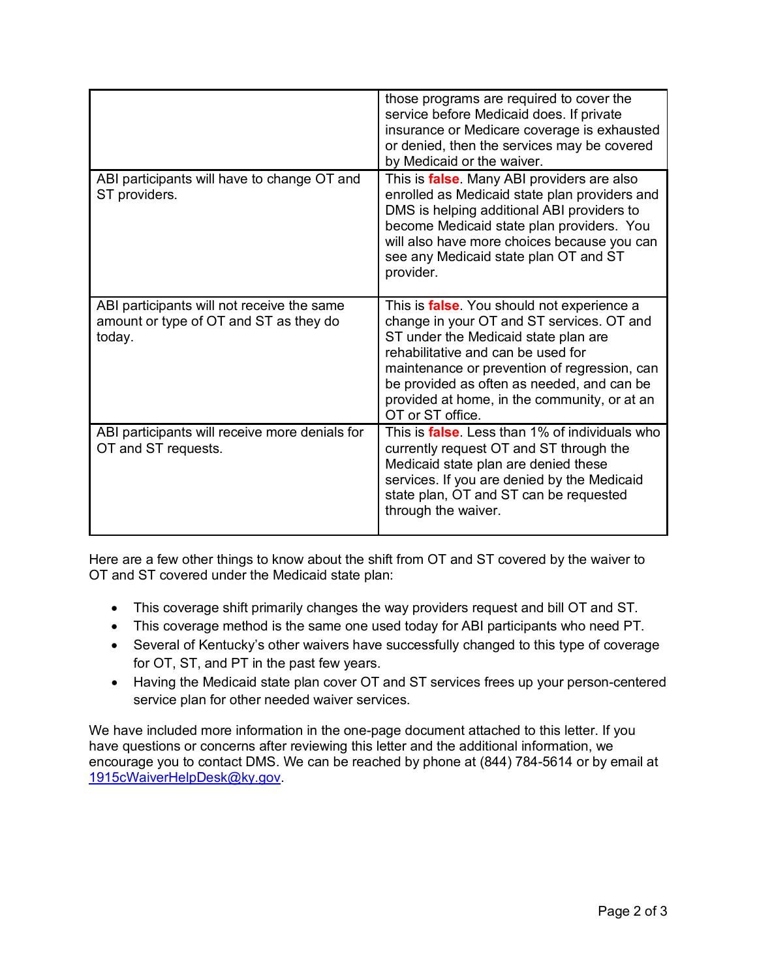|                                                                                                | those programs are required to cover the<br>service before Medicaid does. If private<br>insurance or Medicare coverage is exhausted<br>or denied, then the services may be covered<br>by Medicaid or the waiver.                                                                                                                                |
|------------------------------------------------------------------------------------------------|-------------------------------------------------------------------------------------------------------------------------------------------------------------------------------------------------------------------------------------------------------------------------------------------------------------------------------------------------|
| ABI participants will have to change OT and<br>ST providers.                                   | This is <i>false</i> . Many ABI providers are also<br>enrolled as Medicaid state plan providers and<br>DMS is helping additional ABI providers to<br>become Medicaid state plan providers. You<br>will also have more choices because you can<br>see any Medicaid state plan OT and ST<br>provider.                                             |
| ABI participants will not receive the same<br>amount or type of OT and ST as they do<br>today. | This is <i>false</i> . You should not experience a<br>change in your OT and ST services. OT and<br>ST under the Medicaid state plan are<br>rehabilitative and can be used for<br>maintenance or prevention of regression, can<br>be provided as often as needed, and can be<br>provided at home, in the community, or at an<br>OT or ST office. |
| ABI participants will receive more denials for<br>OT and ST requests.                          | This is <b>false</b> . Less than 1% of individuals who<br>currently request OT and ST through the<br>Medicaid state plan are denied these<br>services. If you are denied by the Medicaid<br>state plan, OT and ST can be requested<br>through the waiver.                                                                                       |

Here are a few other things to know about the shift from OT and ST covered by the waiver to OT and ST covered under the Medicaid state plan:

- This coverage shift primarily changes the way providers request and bill OT and ST.
- This coverage method is the same one used today for ABI participants who need PT.
- Several of Kentucky's other waivers have successfully changed to this type of coverage for OT, ST, and PT in the past few years.
- Having the Medicaid state plan cover OT and ST services frees up your person-centered service plan for other needed waiver services.

We have included more information in the one-page document attached to this letter. If you have questions or concerns after reviewing this letter and the additional information, we encourage you to contact DMS. We can be reached by phone at (844) 784-5614 or by email at [1915cWaiverHelpDesk@ky.gov.](mailto:1915cWaiverHelpDesk@ky.gov)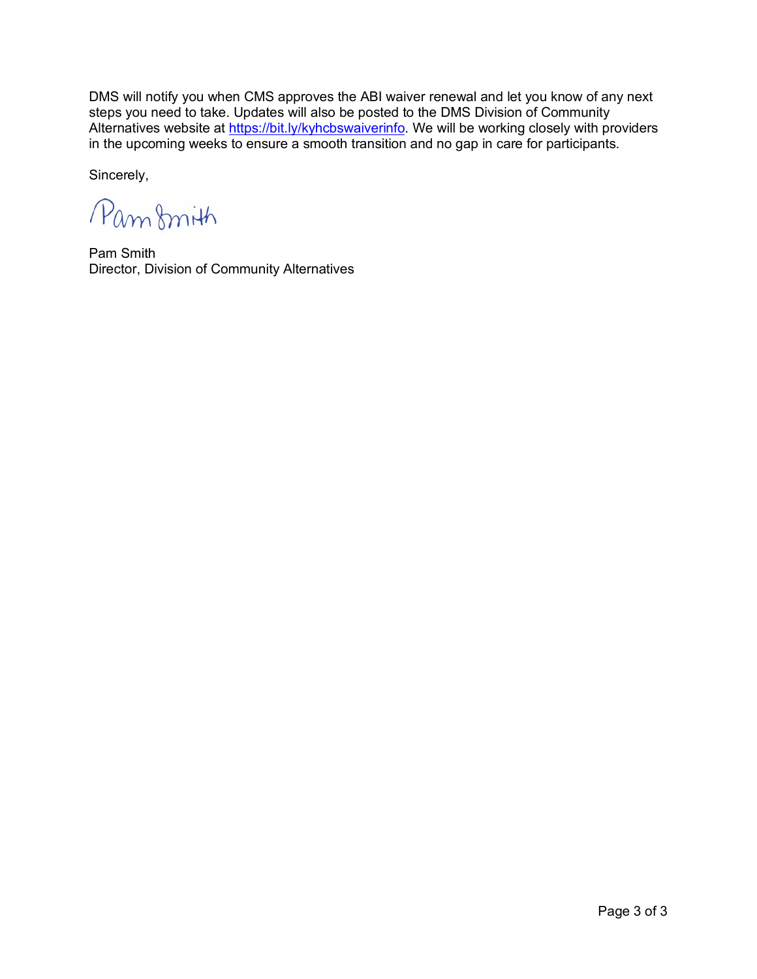DMS will notify you when CMS approves the ABI waiver renewal and let you know of any next steps you need to take. Updates will also be posted to the DMS Division of Community Alternatives website at [https://bit.ly/kyhcbswaiverinfo.](https://bit.ly/kyhcbswaiverinfo) We will be working closely with providers in the upcoming weeks to ensure a smooth transition and no gap in care for participants.

Sincerely,

Pamfmith

Pam Smith Director, Division of Community Alternatives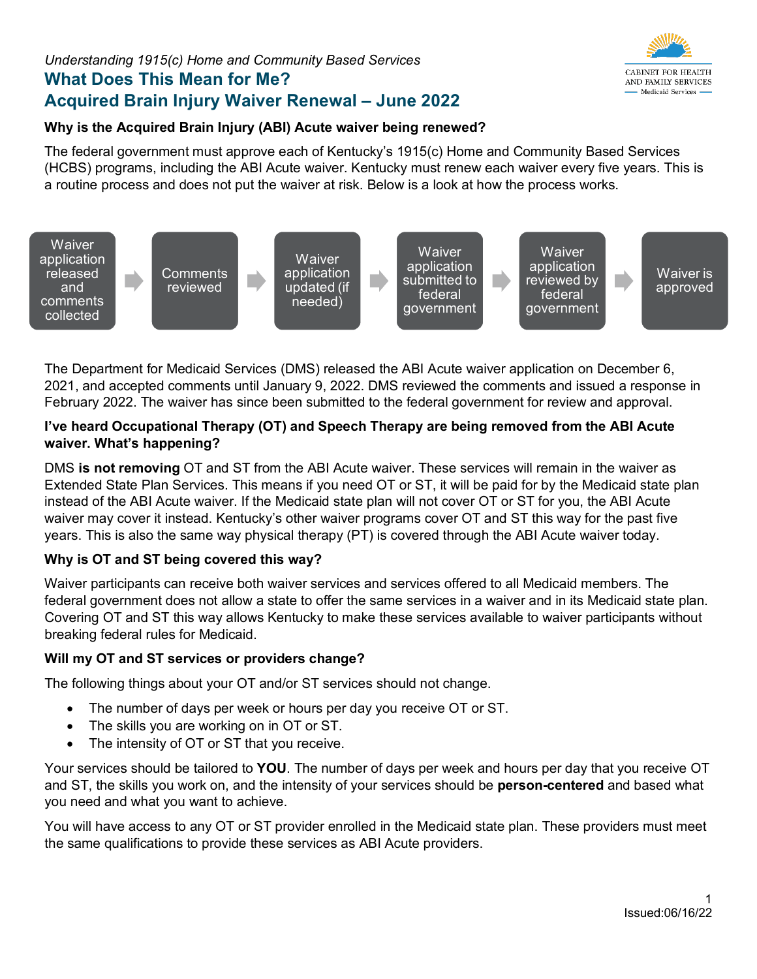# *Understanding 1915(c) Home and Community Based Services*  **What Does This Mean for Me? Acquired Brain Injury Waiver Renewal – June 2022**



### **Why is the Acquired Brain Injury (ABI) Acute waiver being renewed?**

The federal government must approve each of Kentucky's 1915(c) Home and Community Based Services (HCBS) programs, including the ABI Acute waiver. Kentucky must renew each waiver every five years. This is a routine process and does not put the waiver at risk. Below is a look at how the process works.



The Department for Medicaid Services (DMS) released the ABI Acute waiver application on December 6, 2021, and accepted comments until January 9, 2022. DMS reviewed the comments and issued a response in February 2022. The waiver has since been submitted to the federal government for review and approval.

### **I've heard Occupational Therapy (OT) and Speech Therapy are being removed from the ABI Acute waiver. What's happening?**

DMS **is not removing** OT and ST from the ABI Acute waiver. These services will remain in the waiver as Extended State Plan Services. This means if you need OT or ST, it will be paid for by the Medicaid state plan instead of the ABI Acute waiver. If the Medicaid state plan will not cover OT or ST for you, the ABI Acute waiver may cover it instead. Kentucky's other waiver programs cover OT and ST this way for the past five years. This is also the same way physical therapy (PT) is covered through the ABI Acute waiver today.

## **Why is OT and ST being covered this way?**

Waiver participants can receive both waiver services and services offered to all Medicaid members. The federal government does not allow a state to offer the same services in a waiver and in its Medicaid state plan. Covering OT and ST this way allows Kentucky to make these services available to waiver participants without breaking federal rules for Medicaid.

### **Will my OT and ST services or providers change?**

The following things about your OT and/or ST services should not change.

- The number of days per week or hours per day you receive OT or ST.
- The skills you are working on in OT or ST.
- The intensity of OT or ST that you receive.

Your services should be tailored to **YOU**. The number of days per week and hours per day that you receive OT and ST, the skills you work on, and the intensity of your services should be **person-centered** and based what you need and what you want to achieve.

You will have access to any OT or ST provider enrolled in the Medicaid state plan. These providers must meet the same qualifications to provide these services as ABI Acute providers.